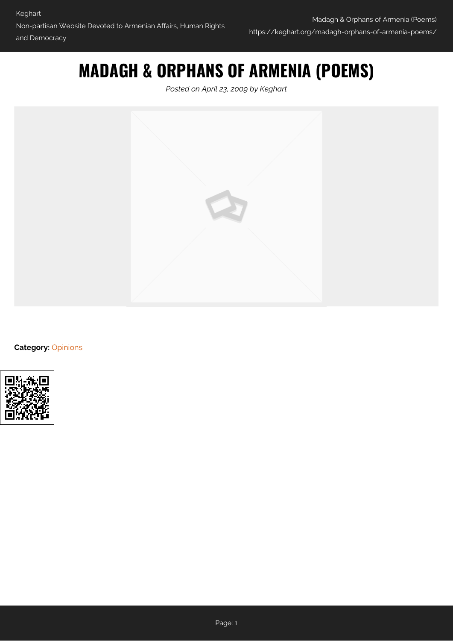# **MADAGH & ORPHANS OF ARMENIA (POEMS)**

*Posted on April 23, 2009 by Keghart*



**Category: [Opinions](https://keghart.org/category/opinions/)** 

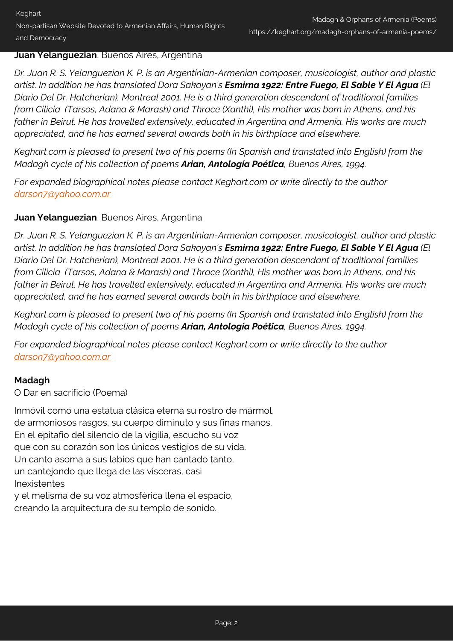#### **Juan Yelanguezian**, Buenos Aires, Argentina

*Dr. Juan R. S. Yelanguezian K. P. is an Argentinian-Armenian composer, musicologist, author and plastic artist. In addition he has translated Dora Sakayan's Esmirna 1922: Entre Fuego, El Sable Y El Agua (El Diario Del Dr. Hatcherian), Montreal 2001. He is a third generation descendant of traditional families from Cilicia (Tarsos, Adana & Marash) and Thrace (Xanthi), His mother was born in Athens, and his father in Beirut. He has travelled extensively, educated in Argentina and Armenia. His works are much appreciated, and he has earned several awards both in his birthplace and elsewhere.*

*Keghart.com is pleased to present two of his poems (In Spanish and translated into English) from the Madagh cycle of his collection of poems Arian, Antología Poética, Buenos Aires, 1994.*

*For expanded biographical notes please contact Keghart.com or write directly to the author [darson7@yahoo.com.ar](mailto:darson7@yahoo.com.ar)*

### **Juan Yelanguezian**, Buenos Aires, Argentina

*Dr. Juan R. S. Yelanguezian K. P. is an Argentinian-Armenian composer, musicologist, author and plastic artist. In addition he has translated Dora Sakayan's Esmirna 1922: Entre Fuego, El Sable Y El Agua (El Diario Del Dr. Hatcherian), Montreal 2001. He is a third generation descendant of traditional families from Cilicia (Tarsos, Adana & Marash) and Thrace (Xanthi), His mother was born in Athens, and his father in Beirut. He has travelled extensively, educated in Argentina and Armenia. His works are much appreciated, and he has earned several awards both in his birthplace and elsewhere.*

*Keghart.com is pleased to present two of his poems (In Spanish and translated into English) from the Madagh cycle of his collection of poems Arian, Antología Poética, Buenos Aires, 1994.*

*For expanded biographical notes please contact Keghart.com or write directly to the author [darson7@yahoo.com.ar](mailto:darson7@yahoo.com.ar)*

# **Madagh**

O Dar en sacrificio (Poema)

Inmóvil como una estatua clásica eterna su rostro de mármol, de armoniosos rasgos, su cuerpo diminuto y sus finas manos. En el epitafio del silencio de la vigilia, escucho su voz que con su corazón son los únicos vestigios de su vida. Un canto asoma a sus labios que han cantado tanto, un cantejondo que llega de las vísceras, casi Inexistentes y el melisma de su voz atmosférica llena el espacio,

creando la arquitectura de su templo de sonido.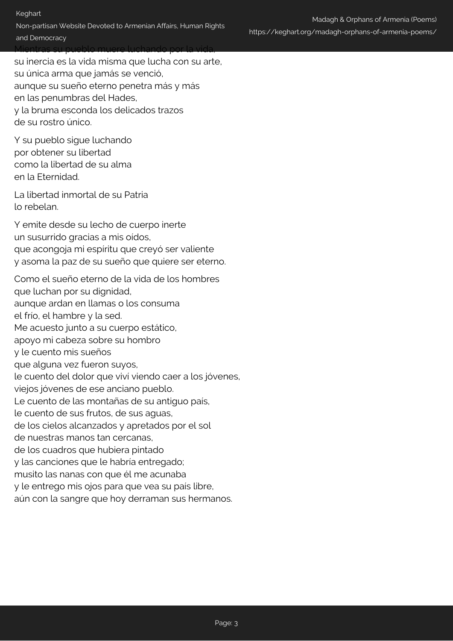#### and Democracy

Mientras su pueblo muere luchando por la vida, su inercia es la vida misma que lucha con su arte, su única arma que jamás se venció, aunque su sueño eterno penetra más y más en las penumbras del Hades, y la bruma esconda los delicados trazos de su rostro único.

Y su pueblo sigue luchando por obtener su libertad como la libertad de su alma en la Eternidad.

La libertad inmortal de su Patria lo rebelan.

Y emite desde su lecho de cuerpo inerte un susurrido gracias a mis oídos, que acongoja mi espíritu que creyó ser valiente y asoma la paz de su sueño que quiere ser eterno.

Como el sueño eterno de la vida de los hombres que luchan por su dignidad, aunque ardan en llamas o los consuma el frío, el hambre y la sed. Me acuesto junto a su cuerpo estático, apoyo mi cabeza sobre su hombro y le cuento mis sueños que alguna vez fueron suyos, le cuento del dolor que viví viendo caer a los jóvenes, viejos jóvenes de ese anciano pueblo. Le cuento de las montañas de su antiguo país, le cuento de sus frutos, de sus aguas, de los cielos alcanzados y apretados por el sol de nuestras manos tan cercanas, de los cuadros que hubiera pintado y las canciones que le habría entregado; musito las nanas con que él me acunaba y le entrego mis ojos para que vea su país libre, aún con la sangre que hoy derraman sus hermanos.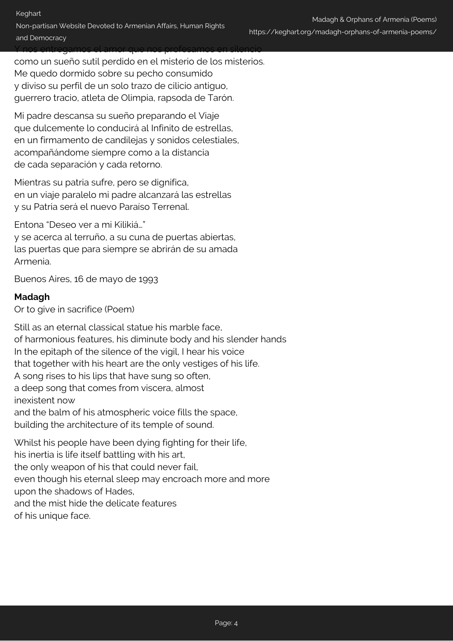Y nos entregamos el amor que nos profesamos en silencio como un sueño sutil perdido en el misterio de los misterios. Me quedo dormido sobre su pecho consumido y diviso su perfil de un solo trazo de cilicio antiguo, guerrero tracio, atleta de Olimpia, rapsoda de Tarón.

Mi padre descansa su sueño preparando el Viaje que dulcemente lo conducirá al Infinito de estrellas, en un firmamento de candilejas y sonidos celestiales, acompañándome siempre como a la distancia de cada separación y cada retorno.

Mientras su patria sufre, pero se dignifica, en un viaje paralelo mi padre alcanzará las estrellas y su Patria será el nuevo Paraíso Terrenal.

Entona "Deseo ver a mi Kilikiá…"

y se acerca al terruño, a su cuna de puertas abiertas, las puertas que para siempre se abrirán de su amada Armenia.

Buenos Aires, 16 de mayo de 1993

### **Madagh**

Or to give in sacrifice (Poem)

Still as an eternal classical statue his marble face, of harmonious features, his diminute body and his slender hands In the epitaph of the silence of the vigil, I hear his voice that together with his heart are the only vestiges of his life. A song rises to his lips that have sung so often, a deep song that comes from viscera, almost inexistent now and the balm of his atmospheric voice fills the space, building the architecture of its temple of sound. Whilst his people have been dying fighting for their life,

his inertia is life itself battling with his art, the only weapon of his that could never fail, even though his eternal sleep may encroach more and more upon the shadows of Hades, and the mist hide the delicate features of his unique face.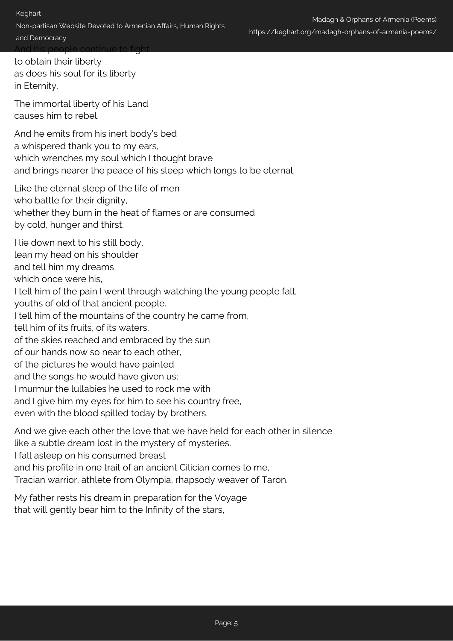to obtain their liberty as does his soul for its liberty in Eternity.

The immortal liberty of his Land causes him to rebel.

And he emits from his inert body's bed a whispered thank you to my ears, which wrenches my soul which I thought brave and brings nearer the peace of his sleep which longs to be eternal.

Like the eternal sleep of the life of men who battle for their dignity. whether they burn in the heat of flames or are consumed by cold, hunger and thirst.

I lie down next to his still body,

lean my head on his shoulder

and tell him my dreams

which once were his.

I tell him of the pain I went through watching the young people fall,

youths of old of that ancient people.

I tell him of the mountains of the country he came from,

tell him of its fruits, of its waters,

of the skies reached and embraced by the sun

of our hands now so near to each other,

of the pictures he would have painted

and the songs he would have given us;

I murmur the lullabies he used to rock me with

and I give him my eyes for him to see his country free,

even with the blood spilled today by brothers.

And we give each other the love that we have held for each other in silence

like a subtle dream lost in the mystery of mysteries.

I fall asleep on his consumed breast

and his profile in one trait of an ancient Cilician comes to me,

Tracian warrior, athlete from Olympia, rhapsody weaver of Taron.

My father rests his dream in preparation for the Voyage that will gently bear him to the Infinity of the stars,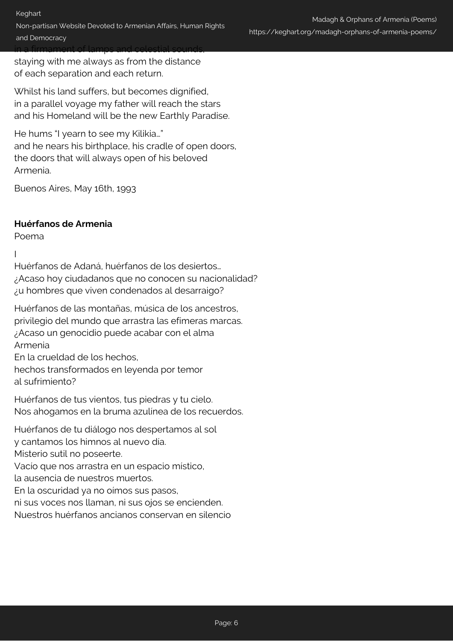Non-partisan Website Devoted to Armenian Affairs, Human Rights and Democracy in a firmament of lamps and celestial sounds,

staying with me always as from the distance of each separation and each return.

Whilst his land suffers, but becomes dignified, in a parallel voyage my father will reach the stars and his Homeland will be the new Earthly Paradise.

He hums "I yearn to see my Kilikia…" and he nears his birthplace, his cradle of open doors, the doors that will always open of his beloved Armenia.

Buenos Aires, May 16th, 1993

#### **Huérfanos de Armenia**

Poema

I

Huérfanos de Adaná, huérfanos de los desiertos… ¿Acaso hoy ciudadanos que no conocen su nacionalidad? ¿u hombres que viven condenados al desarraigo?

Huérfanos de las montañas, música de los ancestros, privilegio del mundo que arrastra las efímeras marcas. ¿Acaso un genocidio puede acabar con el alma Armenia

En la crueldad de los hechos,

hechos transformados en leyenda por temor al sufrimiento?

Huérfanos de tus vientos, tus piedras y tu cielo. Nos ahogamos en la bruma azulínea de los recuerdos.

Huérfanos de tu diálogo nos despertamos al sol

y cantamos los himnos al nuevo día.

Misterio sutil no poseerte.

Vacío que nos arrastra en un espacio místico,

la ausencia de nuestros muertos.

En la oscuridad ya no oímos sus pasos,

ni sus voces nos llaman, ni sus ojos se encienden.

Nuestros huérfanos ancianos conservan en silencio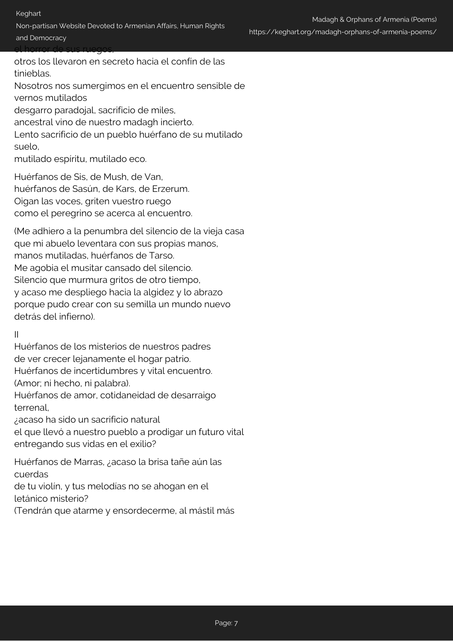otros los llevaron en secreto hacia el confín de las tinieblas. Nosotros nos sumergimos en el encuentro sensible de vernos mutilados desgarro paradojal, sacrificio de miles, ancestral vino de nuestro madagh incierto.

Lento sacrificio de un pueblo huérfano de su mutilado suelo,

mutilado espíritu, mutilado eco.

Huérfanos de Sis, de Mush, de Van, huérfanos de Sasún, de Kars, de Erzerum. Oigan las voces, griten vuestro ruego como el peregrino se acerca al encuentro.

(Me adhiero a la penumbra del silencio de la vieja casa que mi abuelo leventara con sus propias manos, manos mutiladas, huérfanos de Tarso. Me agobia el musitar cansado del silencio. Silencio que murmura gritos de otro tiempo, y acaso me despliego hacia la algidez y lo abrazo porque pudo crear con su semilla un mundo nuevo detrás del infierno).

II

Huérfanos de los misterios de nuestros padres de ver crecer lejanamente el hogar patrio.

Huérfanos de incertidumbres y vital encuentro.

(Amor; ni hecho, ni palabra).

Huérfanos de amor, cotidaneidad de desarraigo terrenal,

¿acaso ha sido un sacrificio natural

el que llevó a nuestro pueblo a prodigar un futuro vital entregando sus vidas en el exilio?

Huérfanos de Marras, ¿acaso la brisa tañe aún las cuerdas

de tu violín, y tus melodías no se ahogan en el letánico misterio?

(Tendrán que atarme y ensordecerme, al mástil más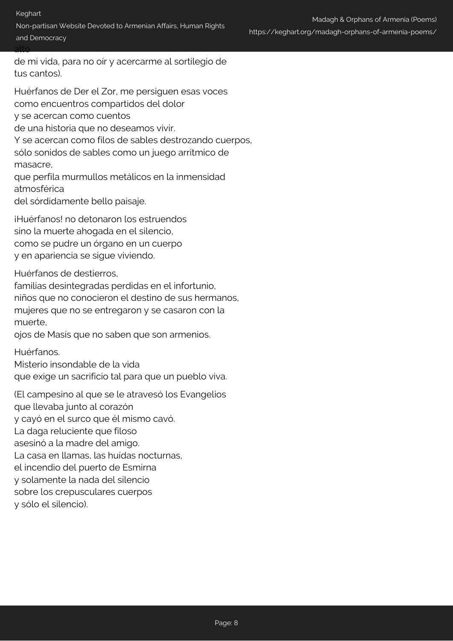Non-partisan Website Devoted to Armenian Affairs, Human Rights and Democracy

alto

de mi vida, para no oír y acercarme al sortilegio de tus cantos).

Huérfanos de Der el Zor, me persiguen esas voces como encuentros compartidos del dolor y se acercan como cuentos

de una historia que no deseamos vivir.

Y se acercan como filos de sables destrozando cuerpos,

sólo sonidos de sables como un juego arrítmico de masacre,

que perfila murmullos metálicos en la inmensidad atmosférica

del sórdidamente bello paisaje.

¡Huérfanos! no detonaron los estruendos sino la muerte ahogada en el silencio, como se pudre un órgano en un cuerpo y en apariencia se sigue viviendo.

Huérfanos de destierros,

familias desintegradas perdidas en el infortunio, niños que no conocieron el destino de sus hermanos, mujeres que no se entregaron y se casaron con la muerte,

ojos de Masís que no saben que son armenios.

Huérfanos.

Misterio insondable de la vida

que exige un sacrificio tal para que un pueblo viva.

(El campesino al que se le atravesó los Evangelios que llevaba junto al corazón y cayó en el surco que él mismo cavó. La daga reluciente que filoso asesinó a la madre del amigo. La casa en llamas, las huídas nocturnas, el incendio del puerto de Esmirna y solamente la nada del silencio sobre los crepusculares cuerpos y sólo el silencio).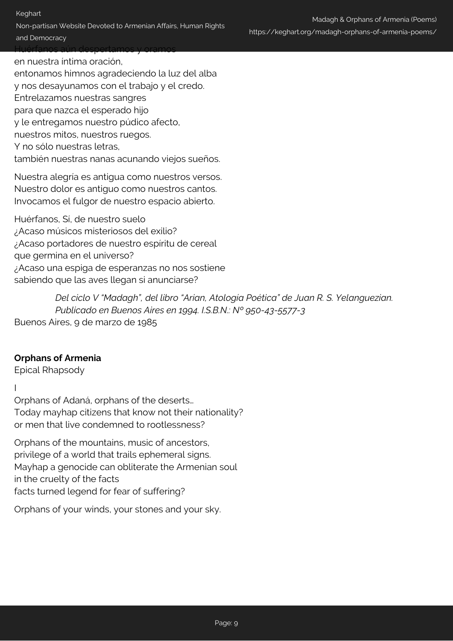Keghart

Non-partisan Website Devoted to Armenian Affairs, Human Rights and Democracy Huérfanos aún despertamos y oramos

en nuestra íntima oración,

entonamos himnos agradeciendo la luz del alba y nos desayunamos con el trabajo y el credo. Entrelazamos nuestras sangres para que nazca el esperado hijo y le entregamos nuestro púdico afecto, nuestros mitos, nuestros ruegos. Y no sólo nuestras letras, también nuestras nanas acunando viejos sueños.

Nuestra alegría es antigua como nuestros versos. Nuestro dolor es antiguo como nuestros cantos. Invocamos el fulgor de nuestro espacio abierto.

Huérfanos, Sí, de nuestro suelo ¿Acaso músicos misteriosos del exilio? ¿Acaso portadores de nuestro espíritu de cereal que germina en el universo? ¿Acaso una espiga de esperanzas no nos sostiene sabiendo que las aves llegan si anunciarse?

*Del ciclo V "Madagh", del libro "Arian, Atología Poética" de Juan R. S. Yelanguezian. Publicado en Buenos Aires en 1994. I.S.B.N.: Nº 950-43-5577-3* Buenos Aires, 9 de marzo de 1985

# **Orphans of Armenia**

Epical Rhapsody

I

Orphans of Adaná, orphans of the deserts… Today mayhap citizens that know not their nationality? or men that live condemned to rootlessness?

Orphans of the mountains, music of ancestors, privilege of a world that trails ephemeral signs. Mayhap a genocide can obliterate the Armenian soul in the cruelty of the facts facts turned legend for fear of suffering?

Orphans of your winds, your stones and your sky.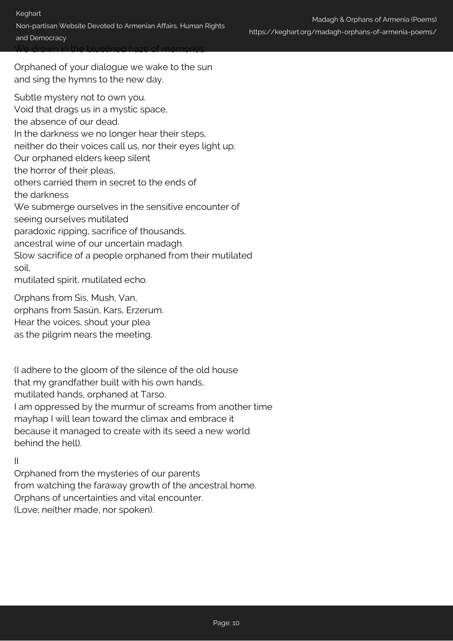Orphaned of your dialogue we wake to the sun and sing the hymns to the new day.

Subtle mystery not to own you. Void that drags us in a mystic space, the absence of our dead. In the darkness we no longer hear their steps, neither do their voices call us, nor their eyes light up. Our orphaned elders keep silent the horror of their pleas, others carried them in secret to the ends of the darkness We submerge ourselves in the sensitive encounter of seeing ourselves mutilated paradoxic ripping, sacrifice of thousands, ancestral wine of our uncertain madagh. Slow sacrifice of a people orphaned from their mutilated soil, mutilated spirit, mutilated echo.

Orphans from Sis, Mush, Van, orphans from Sasún, Kars, Erzerum. Hear the voices, shout your plea

as the pilgrim nears the meeting.

(I adhere to the gloom of the silence of the old house that my grandfather built with his own hands, mutilated hands, orphaned at Tarso. I am oppressed by the murmur of screams from another time mayhap I will lean toward the climax and embrace it because it managed to create with its seed a new world behind the hell).

#### II

Orphaned from the mysteries of our parents from watching the faraway growth of the ancestral home. Orphans of uncertainties and vital encounter. (Love; neither made, nor spoken).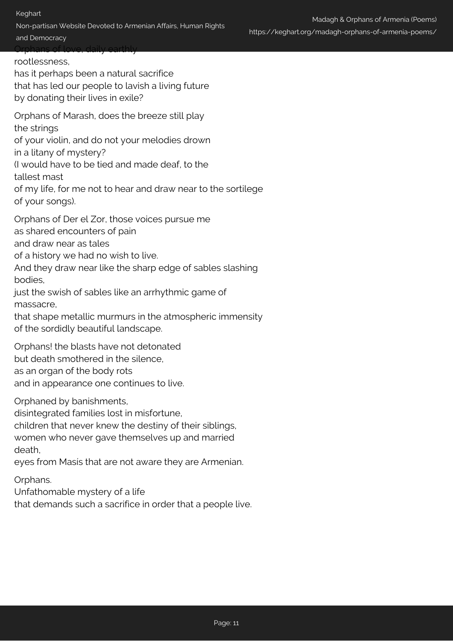#### Keghart

Non-partisan Website Devoted to Armenian Affairs, Human Rights and Democracy

Orphans of love, daily earthly

rootlessness,

has it perhaps been a natural sacrifice that has led our people to lavish a living future by donating their lives in exile?

Orphans of Marash, does the breeze still play the strings

of your violin, and do not your melodies drown in a litany of mystery?

(I would have to be tied and made deaf, to the tallest mast

of my life, for me not to hear and draw near to the sortilege of your songs).

Orphans of Der el Zor, those voices pursue me

as shared encounters of pain

and draw near as tales

of a history we had no wish to live.

And they draw near like the sharp edge of sables slashing bodies,

just the swish of sables like an arrhythmic game of massacre,

that shape metallic murmurs in the atmospheric immensity of the sordidly beautiful landscape.

Orphans! the blasts have not detonated but death smothered in the silence, as an organ of the body rots and in appearance one continues to live.

Orphaned by banishments,

disintegrated families lost in misfortune,

children that never knew the destiny of their siblings,

women who never gave themselves up and married death,

eyes from Masís that are not aware they are Armenian.

Orphans.

Unfathomable mystery of a life

that demands such a sacrifice in order that a people live.